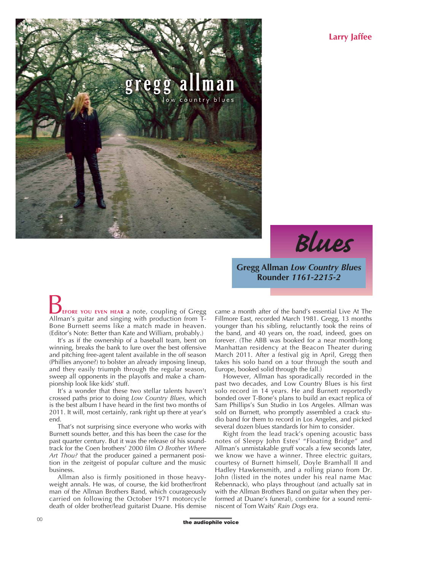**Larry Jaffee**



*Blues*

**Gregg Allman** *Low Country Blues* **Rounder** *1161-2215-2*

**EFORE YOU EVEN HEAR** a note, coupling of Gregg **B**<br>**EFORE YOU EVEN HEAR** a note, coupling of Gregg<br>Allman's guitar and singing with production from T-Bone Burnett seems like a match made in heaven. (Editor's Note: Better than Kate and William, probably.)

It's as if the ownership of a baseball team, bent on winning, breaks the bank to lure over the best offensive and pitching free-agent talent available in the off season (Phillies anyone?) to bolster an already imposing lineup, and they easily triumph through the regular season, sweep all opponents in the playoffs and make a championship look like kids' stuff.

It's a wonder that these two stellar talents haven't crossed paths prior to doing *Low Country Blues,* which is the best album I have heard in the first two months of 2011. It will, most certainly, rank right up there at year's end.

That's not surprising since everyone who works with Burnett sounds better, and this has been the case for the past quarter century. But it was the release of his soundtrack for the Coen brothers' 2000 film *O Brother Where Art Thou?* that the producer gained a permanent position in the zeitgeist of popular culture and the music business.

Allman also is firmly positioned in those heavyweight annals. He was, of course, the kid brother/front man of the Allman Brothers Band, which courageously carried on following the October 1971 motorcycle death of older brother/lead guitarist Duane. His demise came a month after of the band's essential Live At The Fillmore East, recorded March 1981. Gregg, 13 months younger than his sibling, reluctantly took the reins of the band, and 40 years on, the road, indeed, goes on forever. (The ABB was booked for a near month-long Manhattan residency at the Beacon Theater during March 2011. After a festival gig in April, Gregg then takes his solo band on a tour through the south and Europe, booked solid through the fall.)

However, Allman has sporadically recorded in the past two decades, and Low Country Blues is his first solo record in 14 years. He and Burnett reportedly bonded over T-Bone's plans to build an exact replica of Sam Phillips's Sun Studio in Los Angeles. Allman was sold on Burnett, who promptly assembled a crack studio band for them to record in Los Angeles, and picked several dozen blues standards for him to consider.

Right from the lead track's opening acoustic bass notes of Sleepy John Estes' "Floating Bridge" and Allman's unmistakable gruff vocals a few seconds later, we know we have a winner. Three electric guitars, courtesy of Burnett himself, Doyle Bramhall II and Hadley Hawkensmith, and a rolling piano from Dr. John (listed in the notes under his real name Mac Rebennack), who plays throughout (and actually sat in with the Allman Brothers Band on guitar when they performed at Duane's funeral), combine for a sound reminiscent of Tom Waits' *Rain Dogs* era.

**the audiophile voice**<br> **the audiophile voice**